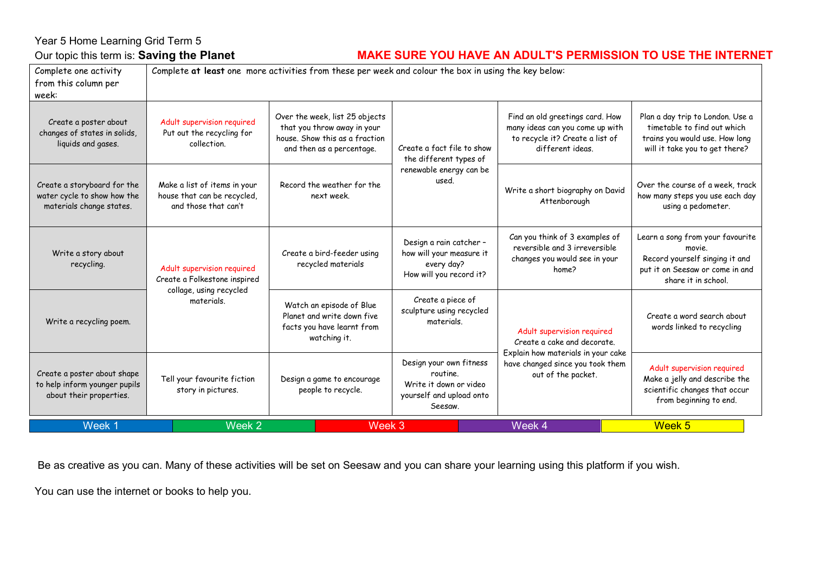## Year 5 Home Learning Grid Term 5

## Our topic this term is: Saving the Planet MAKE SURE YOU HAVE AN ADULT'S PERMISSION TO USE THE INTERNET

| Complete one activity<br>from this column per<br>week:                                  | Complete at least one more activities from these per week and colour the box in using the key below: |                                                                                                      |                                                                                                                              |                                                                                                      |                                                                                                                           |                                                                                                                                        |
|-----------------------------------------------------------------------------------------|------------------------------------------------------------------------------------------------------|------------------------------------------------------------------------------------------------------|------------------------------------------------------------------------------------------------------------------------------|------------------------------------------------------------------------------------------------------|---------------------------------------------------------------------------------------------------------------------------|----------------------------------------------------------------------------------------------------------------------------------------|
| Create a poster about<br>changes of states in solids,<br>liquids and gases.             | Adult supervision required<br>Put out the recycling for<br>collection.                               |                                                                                                      | Over the week, list 25 objects<br>that you throw away in your<br>house. Show this as a fraction<br>and then as a percentage. | Create a fact file to show<br>the different types of                                                 | Find an old greetings card. How<br>many ideas can you come up with<br>to recycle it? Create a list of<br>different ideas. | Plan a day trip to London. Use a<br>timetable to find out which<br>trains you would use. How long<br>will it take you to get there?    |
| Create a storyboard for the<br>water cycle to show how the<br>materials change states.  | Make a list of items in your<br>house that can be recycled,<br>and those that can't                  |                                                                                                      | Record the weather for the<br>next week.                                                                                     | renewable energy can be<br>used.                                                                     | Write a short biography on David<br>Attenborough                                                                          | Over the course of a week, track<br>how many steps you use each day<br>using a pedometer.                                              |
| Write a story about<br>recycling.                                                       | Adult supervision required<br>Create a Folkestone inspired                                           |                                                                                                      | Create a bird-feeder using<br>recycled materials                                                                             | Design a rain catcher -<br>how will your measure it<br>every day?<br>How will you record it?         | Can you think of 3 examples of<br>reversible and 3 irreversible<br>changes you would see in your<br>home?                 | Learn a song from your favourite<br>movie.<br>Record yourself singing it and<br>put it on Seesaw or come in and<br>share it in school. |
| Write a recycling poem.                                                                 | collage, using recycled<br>materials.                                                                | Watch an episode of Blue<br>Planet and write down five<br>facts you have learnt from<br>watching it. |                                                                                                                              | Create a piece of<br>sculpture using recycled<br>materials.                                          | Adult supervision required<br>Create a cake and decorate.                                                                 | Create a word search about<br>words linked to recycling                                                                                |
| Create a poster about shape<br>to help inform younger pupils<br>about their properties. | Tell your favourite fiction<br>story in pictures.                                                    | Design a game to encourage<br>people to recycle.                                                     |                                                                                                                              | Design your own fitness<br>routine.<br>Write it down or video<br>yourself and upload onto<br>Seesaw. | Explain how materials in your cake<br>have changed since you took them<br>out of the packet.                              | Adult supervision required<br>Make a jelly and describe the<br>scientific changes that occur<br>from beginning to end.                 |
| Week 1                                                                                  | Week 2                                                                                               |                                                                                                      | Week 3                                                                                                                       |                                                                                                      | Week 4                                                                                                                    | Week <sub>5</sub>                                                                                                                      |

Be as creative as you can. Many of these activities will be set on Seesaw and you can share your learning using this platform if you wish.

You can use the internet or books to help you.